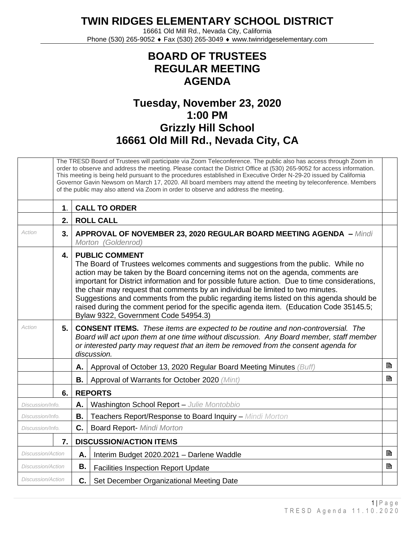**TWIN RIDGES ELEMENTARY SCHOOL DISTRICT**

16661 Old Mill Rd., Nevada City, California Phone (530) 265-9052 ♦ Fax (530) 265-3049 ♦ www.twinridgeselementary.com

## **BOARD OF TRUSTEES REGULAR MEETING AGENDA**

## **Tuesday, November 23, 2020 1:00 PM Grizzly Hill School 16661 Old Mill Rd., Nevada City, CA**

|                          |                                      | The TRESD Board of Trustees will participate via Zoom Teleconference. The public also has access through Zoom in<br>order to observe and address the meeting. Please contact the District Office at (530) 265-9052 for access information.<br>This meeting is being held pursuant to the procedures established in Executive Order N-29-20 issued by California<br>Governor Gavin Newsom on March 17, 2020. All board members may attend the meeting by teleconference. Members<br>of the public may also attend via Zoom in order to observe and address the meeting.                                              |                                                                   |   |  |  |  |  |
|--------------------------|--------------------------------------|---------------------------------------------------------------------------------------------------------------------------------------------------------------------------------------------------------------------------------------------------------------------------------------------------------------------------------------------------------------------------------------------------------------------------------------------------------------------------------------------------------------------------------------------------------------------------------------------------------------------|-------------------------------------------------------------------|---|--|--|--|--|
|                          | $\mathbf{1}$ .                       | <b>CALL TO ORDER</b>                                                                                                                                                                                                                                                                                                                                                                                                                                                                                                                                                                                                |                                                                   |   |  |  |  |  |
|                          | 2.                                   | <b>ROLL CALL</b>                                                                                                                                                                                                                                                                                                                                                                                                                                                                                                                                                                                                    |                                                                   |   |  |  |  |  |
| Action                   | 3.                                   | <b>APPROVAL OF NOVEMBER 23, 2020 REGULAR BOARD MEETING AGENDA - Mindi</b><br>Morton (Goldenrod)                                                                                                                                                                                                                                                                                                                                                                                                                                                                                                                     |                                                                   |   |  |  |  |  |
|                          | $\overline{4}$ .                     | <b>PUBLIC COMMENT</b><br>The Board of Trustees welcomes comments and suggestions from the public. While no<br>action may be taken by the Board concerning items not on the agenda, comments are<br>important for District information and for possible future action. Due to time considerations,<br>the chair may request that comments by an individual be limited to two minutes.<br>Suggestions and comments from the public regarding items listed on this agenda should be<br>raised during the comment period for the specific agenda item. (Education Code 35145.5;<br>Bylaw 9322, Government Code 54954.3) |                                                                   |   |  |  |  |  |
| Action                   | 5.                                   | <b>CONSENT ITEMS.</b> These items are expected to be routine and non-controversial. The<br>Board will act upon them at one time without discussion. Any Board member, staff member<br>or interested party may request that an item be removed from the consent agenda for<br>discussion.                                                                                                                                                                                                                                                                                                                            |                                                                   |   |  |  |  |  |
|                          |                                      | Α.                                                                                                                                                                                                                                                                                                                                                                                                                                                                                                                                                                                                                  | Approval of October 13, 2020 Regular Board Meeting Minutes (Buff) | B |  |  |  |  |
|                          |                                      | В.                                                                                                                                                                                                                                                                                                                                                                                                                                                                                                                                                                                                                  | Approval of Warrants for October 2020 (Mint)                      | B |  |  |  |  |
|                          | 6.                                   | <b>REPORTS</b>                                                                                                                                                                                                                                                                                                                                                                                                                                                                                                                                                                                                      |                                                                   |   |  |  |  |  |
| Discussion/Info.         |                                      | Α.                                                                                                                                                                                                                                                                                                                                                                                                                                                                                                                                                                                                                  | Washington School Report - Julie Montobbio                        |   |  |  |  |  |
| Discussion/Info.         |                                      | Β.                                                                                                                                                                                                                                                                                                                                                                                                                                                                                                                                                                                                                  | Teachers Report/Response to Board Inquiry - Mindi Morton          |   |  |  |  |  |
| Discussion/Info.         |                                      | C.                                                                                                                                                                                                                                                                                                                                                                                                                                                                                                                                                                                                                  | <b>Board Report- Mindi Morton</b>                                 |   |  |  |  |  |
|                          | 7.<br><b>DISCUSSION/ACTION ITEMS</b> |                                                                                                                                                                                                                                                                                                                                                                                                                                                                                                                                                                                                                     |                                                                   |   |  |  |  |  |
| Discussion/Action        |                                      | Α.                                                                                                                                                                                                                                                                                                                                                                                                                                                                                                                                                                                                                  | Interim Budget 2020.2021 - Darlene Waddle                         | B |  |  |  |  |
| <b>Discussion/Action</b> |                                      | <b>B.</b>                                                                                                                                                                                                                                                                                                                                                                                                                                                                                                                                                                                                           | <b>Facilities Inspection Report Update</b>                        | B |  |  |  |  |
| <b>Discussion/Action</b> |                                      | C.                                                                                                                                                                                                                                                                                                                                                                                                                                                                                                                                                                                                                  | Set December Organizational Meeting Date                          |   |  |  |  |  |